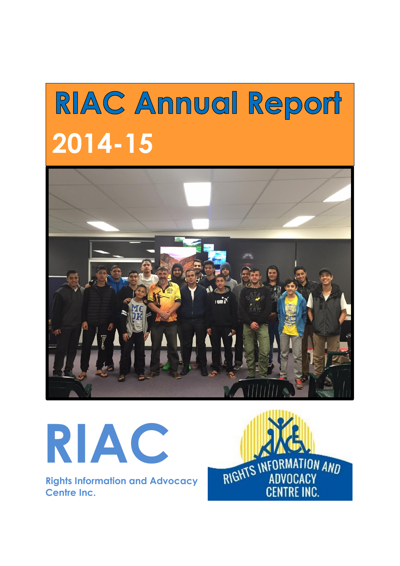# RIAC Annual Report **2014-15**





**Centre Inc.**

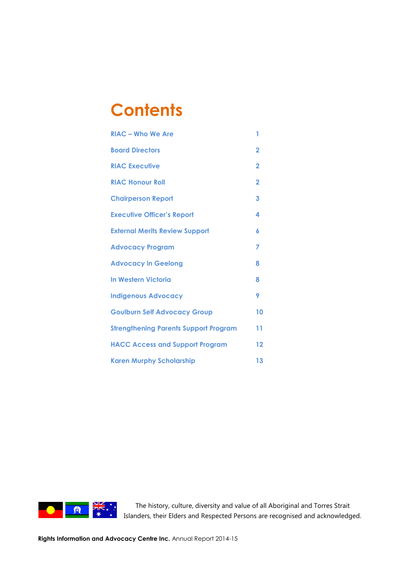### **Contents**

| <b>RIAC - Who We Are</b>                     | 1              |
|----------------------------------------------|----------------|
| <b>Board Directors</b>                       | $\overline{2}$ |
| <b>RIAC Executive</b>                        | $\overline{2}$ |
| <b>RIAC Honour Roll</b>                      | $\overline{2}$ |
| <b>Chairperson Report</b>                    | 3              |
| <b>Executive Officer's Report</b>            | 4              |
| <b>External Merits Review Support</b>        | 6              |
| <b>Advocacy Program</b>                      | 7              |
| <b>Advocacy in Geelong</b>                   | 8              |
| In Western Victoria                          | 8              |
| <b>Indigenous Advocacy</b>                   | 9              |
| <b>Goulburn Self Advocacy Group</b>          | 10             |
| <b>Strengthening Parents Support Program</b> | 11             |
| <b>HACC Access and Support Program</b>       | 12             |
| <b>Karen Murphy Scholarship</b>              | 13             |



The history, culture, diversity and value of all Aboriginal and Torres Strait Islanders, their Elders and Respected Persons are recognised and acknowledged.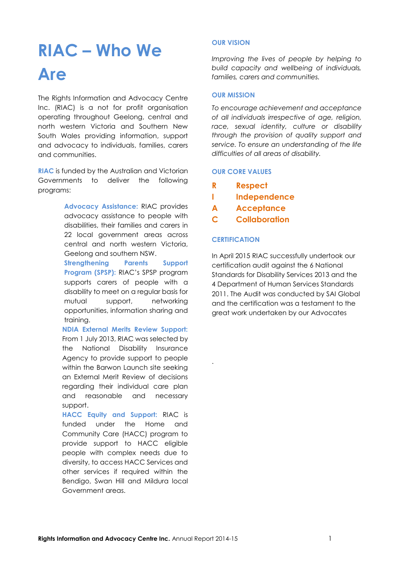### **RIAC – Who We Are**

The Rights Information and Advocacy Centre Inc. (RIAC) is a not for profit organisation operating throughout Geelong, central and north western Victoria and Southern New South Wales providing information, support and advocacy to individuals, families, carers and communities.

**RIAC** is funded by the Australian and Victorian Governments to deliver the following programs:

> **Advocacy Assistance:** RIAC provides advocacy assistance to people with disabilities, their families and carers in 22 local government areas across central and north western Victoria, Geelong and southern NSW.

**Strengthening Parents Support Program (SPSP):** RIAC's SPSP program supports carers of people with a disability to meet on a regular basis for mutual support, networking opportunities, information sharing and training.

**NDIA External Merits Review Support:** From 1 July 2013, RIAC was selected by the National Disability Insurance Agency to provide support to people within the Barwon Launch site seeking an External Merit Review of decisions regarding their individual care plan and reasonable and necessary support.

**HACC Equity and Support:** RIAC is funded under the Home and Community Care (HACC) program to provide support to HACC eligible people with complex needs due to diversity, to access HACC Services and other services if required within the Bendigo, Swan Hill and Mildura local Government areas.

#### **OUR VISION**

*Improving the lives of people by helping to build capacity and wellbeing of individuals, families, carers and communities.* 

#### **OUR MISSION**

*To encourage achievement and acceptance of all individuals irrespective of age, religion, race, sexual identity, culture or disability through the provision of quality support and service. To ensure an understanding of the life difficulties of all areas of disability.* 

#### **OUR CORE VALUES**

- **R Respect**
- **I Independence**
- **A Acceptance**
- **C Collaboration**

#### **CERTIFICATION**

.

In April 2015 RIAC successfully undertook our certification audit against the 6 National Standards for Disability Services 2013 and the 4 Department of Human Services Standards 2011. The Audit was conducted by SAI Global and the certification was a testament to the great work undertaken by our Advocates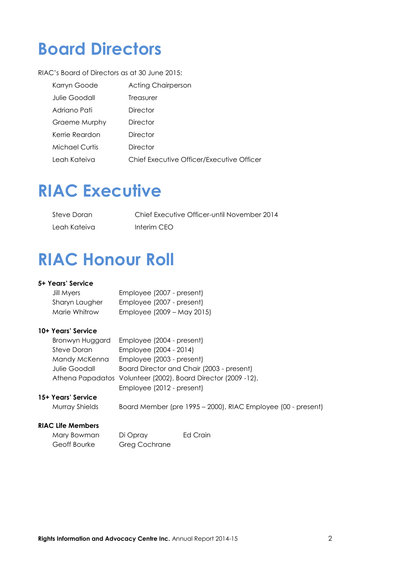### **Board Directors**

RIAC's Board of Directors as at 30 June 2015:

| Karryn Goode   | <b>Acting Chairperson</b>                 |
|----------------|-------------------------------------------|
| Julie Goodall  | Treasurer                                 |
| Adriano Pati   | Director                                  |
| Graeme Murphy  | Director                                  |
| Kerrie Reardon | Director                                  |
| Michael Curtis | Director                                  |
| Leah Kateiva   | Chief Executive Officer/Executive Officer |

### **RIAC Executive**

| Steve Doran  | Chief Executive Officer-until November 2014 |
|--------------|---------------------------------------------|
| Leah Kateiva | Interim CEO                                 |

### **RIAC Honour Roll**

#### **5+ Years' Service**

| Jill Myers     | Employee (2007 - present)  |
|----------------|----------------------------|
| Sharyn Laugher | Employee (2007 - present)  |
| Marie Whitrow  | Employee (2009 – May 2015) |

#### **10+ Years' Service**

| Bronwyn Huggard | Employee (2004 - present)                                     |
|-----------------|---------------------------------------------------------------|
| Steve Doran     | Employee (2004 - 2014)                                        |
| Mandy McKenna   | Employee (2003 - present)                                     |
| Julie Goodall   | Board Director and Chair (2003 - present)                     |
|                 | Athena Papadatos Volunteer (2002), Board Director (2009 -12), |
|                 | Employee (2012 - present)                                     |

### **15+ Years' Service**

Murray Shields Board Member (pre 1995 – 2000), RIAC Employee (00 - present)

### **RIAC Life Members**

Mary Bowman Di Opray Ed Crain Geoff Bourke Greg Cochrane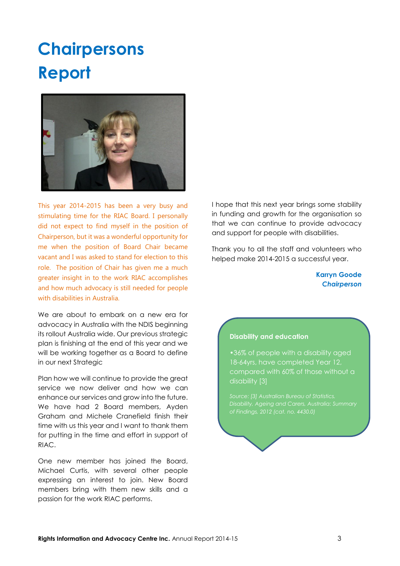### **Chairpersons Report**



This year 2014-2015 has been a very busy and stimulating time for the RIAC Board. I personally did not expect to find myself in the position of Chairperson, but it was a wonderful opportunity for me when the position of Board Chair became vacant and I was asked to stand for election to this role. The position of Chair has given me a much greater insight in to the work RIAC accomplishes and how much advocacy is still needed for people with disabilities in Australia.

We are about to embark on a new era for advocacy in Australia with the NDIS beginning its rollout Australia wide. Our previous strategic plan is finishing at the end of this year and we will be working together as a Board to define in our next Strategic

Plan how we will continue to provide the great service we now deliver and how we can enhance our services and grow into the future. We have had 2 Board members, Ayden Graham and Michele Cranefield finish their time with us this year and I want to thank them for putting in the time and effort in support of RIAC.

One new member has joined the Board, Michael Curtis, with several other people expressing an interest to join. New Board members bring with them new skills and a passion for the work RIAC performs.

I hope that this next year brings some stability in funding and growth for the organisation so that we can continue to provide advocacy and support for people with disabilities.

Thank you to all the staff and volunteers who helped make 2014-2015 a successful year.

> **Karryn Goode** *Chairperson*

#### **Disability and education**

•36% of people with a disability aged 18-64yrs, have completed Year 12, compared with 60% of those without a disability [3]

*Source: [3] Australian Bureau of Statistics.*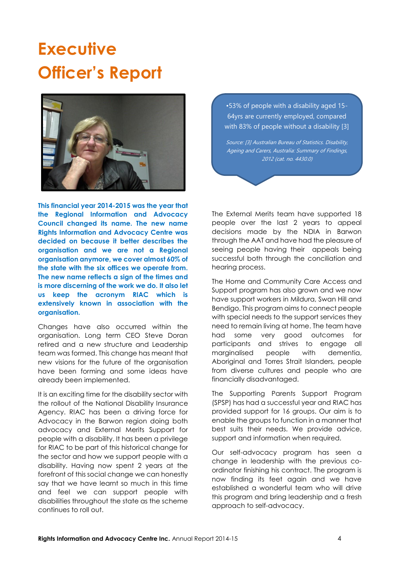### **Executive Officer's Report**



•53% of people with a disability aged 15- 64yrs are currently employed, compared with 83% of people without a disability [3]

Source: [3] Australian Bureau of Statistics. Disability, Ageing and Carers, Australia: Summary of Findings, 2012 (cat. no. 4430.0)

**This financial year 2014-2015 was the year that the Regional Information and Advocacy Council changed its name. The new name Rights Information and Advocacy Centre was decided on because it better describes the organisation and we are not a Regional organisation anymore, we cover almost 60% of the state with the six offices we operate from. The new name reflects a sign of the times and is more discerning of the work we do. It also let us keep the acronym RIAC which is extensively known in association with the organisation.**

Changes have also occurred within the organisation. Long term CEO Steve Doran retired and a new structure and Leadership team was formed. This change has meant that new visions for the future of the organisation have been forming and some ideas have already been implemented.

It is an exciting time for the disability sector with the rollout of the National Disability Insurance Agency. RIAC has been a driving force for Advocacy in the Barwon region doing both advocacy and External Merits Support for people with a disability. It has been a privilege for RIAC to be part of this historical change for the sector and how we support people with a disability. Having now spent 2 years at the forefront of this social change we can honestly say that we have learnt so much in this time and feel we can support people with disabilities throughout the state as the scheme continues to roll out.

The External Merits team have supported 18 people over the last 2 years to appeal decisions made by the NDIA in Barwon through the AAT and have had the pleasure of seeing people having their appeals being successful both through the conciliation and hearing process.

The Home and Community Care Access and Support program has also grown and we now have support workers in Mildura, Swan Hill and Bendigo. This program aims to connect people with special needs to the support services they need to remain living at home. The team have had some very good outcomes for participants and strives to engage all marginalised people with dementia, Aboriginal and Torres Strait Islanders, people from diverse cultures and people who are financially disadvantaged.

The Supporting Parents Support Program (SPSP) has had a successful year and RIAC has provided support for 16 groups. Our aim is to enable the groups to function in a manner that best suits their needs. We provide advice, support and information when required.

Our self-advocacy program has seen a change in leadership with the previous coordinator finishing his contract. The program is now finding its feet again and we have established a wonderful team who will drive this program and bring leadership and a fresh approach to self-advocacy.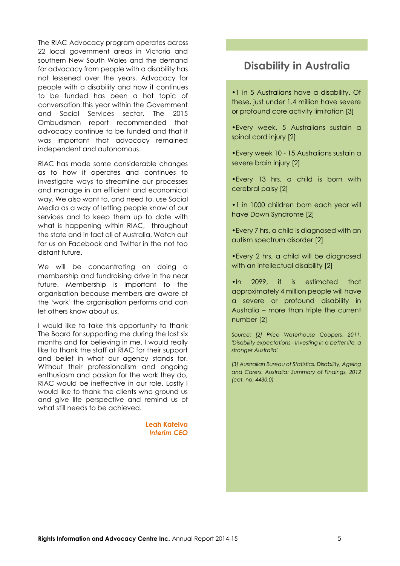The RIAC Advocacy program operates across 22 local government areas in Victoria and southern New South Wales and the demand for advocacy from people with a disability has not lessened over the years. Advocacy for people with a disability and how it continues to be funded has been a hot topic of conversation this year within the Government and Social Services sector. The 2015 Ombudsman report recommended that advocacy continue to be funded and that it was important that advocacy remained independent and autonomous.

RIAC has made some considerable changes as to how it operates and continues to investigate ways to streamline our processes and manage in an efficient and economical way. We also want to, and need to, use Social Media as a way of letting people know of our services and to keep them up to date with what is happening within RIAC, throughout the state and in fact all of Australia. Watch out for us on Facebook and Twitter in the not too distant future.

We will be concentrating on doing a membership and fundraising drive in the near future. Membership is important to the organisation because members are aware of the 'work' the organisation performs and can let others know about us.

I would like to take this opportunity to thank The Board for supporting me during the last six months and for believing in me. I would really like to thank the staff at RIAC for their support and belief in what our agency stands for. Without their professionalism and ongoing enthusiasm and passion for the work they do, RIAC would be ineffective in our role. Lastly I would like to thank the clients who ground us and give life perspective and remind us of what still needs to be achieved.

> **Leah Kateiva** *Interim CEO*

### **Disability in Australia**

•1 in 5 Australians have a disability. Of these, just under 1.4 million have severe or profound core activity limitation [3]

- •Every week, 5 Australians sustain a spinal cord injury [2]
- •Every week 10 15 Australians sustain a severe brain injury [2]
- •Every 13 hrs, a child is born with cerebral palsy [2]
- •1 in 1000 children born each year will have Down Syndrome [2]
- •Every 7 hrs, a child is diagnosed with an autism spectrum disorder [2]
- •Every 2 hrs, a child will be diagnosed with an intellectual disability [2]
- •In 2099, it is estimated that approximately 4 million people will have a severe or profound disability in Australia – more than triple the current number [2]
- *Source: [2] Price Waterhouse Coopers, 2011. 'Disability expectations - Investing in a better life, a stronger Australia'.*
- *[3] Australian Bureau of Statistics. Disability, Ageing and Carers, Australia: Summary of Findings, 2012 (cat. no. 4430.0)*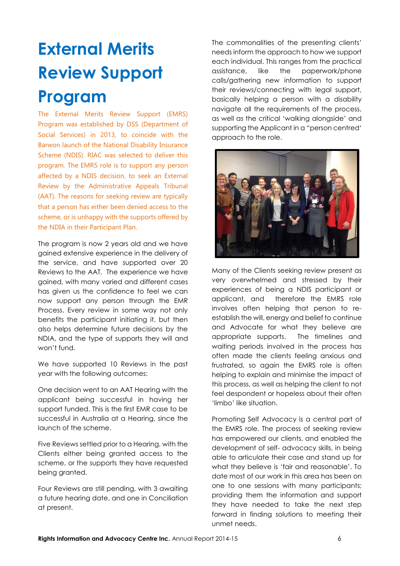# **External Merits Review Support Program**

The External Merits Review Support (EMRS) Program was established by DSS (Department of Social Services) in 2013, to coincide with the Barwon launch of the National Disability Insurance Scheme (NDIS). RIAC was selected to deliver this program. The EMRS role is to support any person affected by a NDIS decision, to seek an External Review by the Administrative Appeals Tribunal (AAT). The reasons for seeking review are typically that a person has either been denied access to the scheme, or is unhappy with the supports offered by the NDIA in their Participant Plan.

The program is now 2 years old and we have gained extensive experience in the delivery of the service, and have supported over 20 Reviews to the AAT. The experience we have gained, with many varied and different cases has given us the confidence to feel we can now support any person through the EMR Process. Every review in some way not only benefits the participant initiating it, but then also helps determine future decisions by the NDIA, and the type of supports they will and won't fund.

We have supported 10 Reviews in the past year with the following outcomes:

One decision went to an AAT Hearing with the applicant being successful in having her support funded. This is the first EMR case to be successful in Australia at a Hearing, since the launch of the scheme.

Five Reviews settled prior to a Hearing, with the Clients either being granted access to the scheme, or the supports they have requested being granted.

Four Reviews are still pending, with 3 awaiting a future hearing date, and one in Conciliation at present.

The commonalities of the presenting clients' needs inform the approach to how we support each individual. This ranges from the practical assistance, like the paperwork/phone calls/gathering new information to support their reviews/connecting with legal support, basically helping a person with a disability navigate all the requirements of the process, as well as the critical 'walking alongside' and supporting the Applicant in a "person centred' approach to the role.



Many of the Clients seeking review present as very overwhelmed and stressed by their experiences of being a NDIS participant or applicant, and therefore the EMRS role involves often helping that person to reestablish the will, energy and belief to continue and Advocate for what they believe are appropriate supports. The timelines and waiting periods involved in the process has often made the clients feeling anxious and frustrated, so again the EMRS role is often helping to explain and minimise the impact of this process, as well as helping the client to not feel despondent or hopeless about their often 'limbo' like situation.

Promoting Self Advocacy is a central part of the EMRS role. The process of seeking review has empowered our clients, and enabled the development of self- advocacy skills, in being able to articulate their case and stand up for what they believe is 'fair and reasonable'. To date most of our work in this area has been on one to one sessions with many participants; providing them the information and support they have needed to take the next step forward in finding solutions to meeting their unmet needs.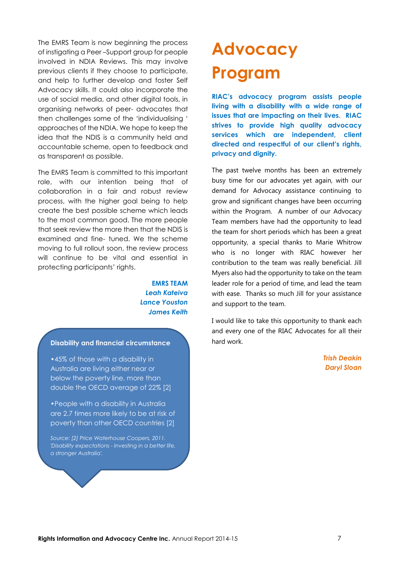The EMRS Team is now beginning the process of instigating a Peer –Support group for people involved in NDIA Reviews. This may involve previous clients if they choose to participate, and help to further develop and foster Self Advocacy skills. It could also incorporate the use of social media, and other digital tools, in organising networks of peer- advocates that then challenges some of the 'individualising ' approaches of the NDIA. We hope to keep the idea that the NDIS is a community held and accountable scheme, open to feedback and as transparent as possible.

The EMRS Team is committed to this important role, with our intention being that of collaboration in a fair and robust review process, with the higher goal being to help create the best possible scheme which leads to the most common good. The more people that seek review the more then that the NDIS is examined and fine- tuned. We the scheme moving to full rollout soon, the review process will continue to be vital and essential in protecting participants' rights.

> **EMRS TEAM** *Leah Kateiva Lance Youston James Keith*

#### **Disability and financial circumstance**

•45% of those with a disability in Australia are living either near or below the poverty line, more than double the OECD average of 22% [2]

•People with a disability in Australia are 2.7 times more likely to be at risk of poverty than other OECD countries [2]

*Source: [2] Price Waterhouse Coopers, 2011. 'Disability expectations - Investing in a better life, a stronger Australia'.*

### **Advocacy Program**

**RIAC's advocacy program assists people living with a disability with a wide range of issues that are impacting on their lives. RIAC strives to provide high quality advocacy services which are independent, client directed and respectful of our client's rights, privacy and dignity.**

The past twelve months has been an extremely busy time for our advocates yet again, with our demand for Advocacy assistance continuing to grow and significant changes have been occurring within the Program. A number of our Advocacy Team members have had the opportunity to lead the team for short periods which has been a great opportunity, a special thanks to Marie Whitrow who is no longer with RIAC however her contribution to the team was really beneficial. Jill Myers also had the opportunity to take on the team leader role for a period of time, and lead the team with ease. Thanks so much Jill for your assistance and support to the team.

I would like to take this opportunity to thank each and every one of the RIAC Advocates for all their hard work.

> *Trish Deakin Daryl Sloan*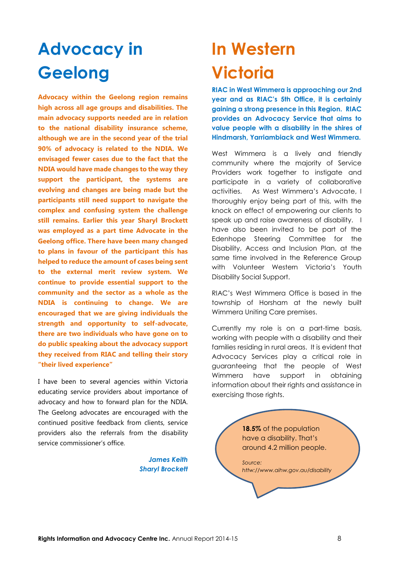### **Advocacy in Geelong**

**Advocacy within the Geelong region remains high across all age groups and disabilities. The main advocacy supports needed are in relation to the national disability insurance scheme, although we are in the second year of the trial 90% of advocacy is related to the NDIA. We envisaged fewer cases due to the fact that the NDIA would have made changes to the way they support the participant, the systems are evolving and changes are being made but the participants still need support to navigate the complex and confusing system the challenge still remains. Earlier this year Sharyl Brockett was employed as a part time Advocate in the Geelong office. There have been many changed to plans in favour of the participant this has helped to reduce the amount of cases being sent to the external merit review system. We continue to provide essential support to the community and the sector as a whole as the NDIA is continuing to change. We are encouraged that we are giving individuals the strength and opportunity to self-advocate, there are two individuals who have gone on to do public speaking about the advocacy support they received from RIAC and telling their story "their lived experience"**

I have been to several agencies within Victoria educating service providers about importance of advocacy and how to forward plan for the NDIA. The Geelong advocates are encouraged with the continued positive feedback from clients, service providers also the referrals from the disability service commissioner's office.

> *James Keith Sharyl Brockett*

### **In Western Victoria**

**RIAC in West Wimmera is approaching our 2nd year and as RIAC's 5th Office, it is certainly gaining a strong presence in this Region. RIAC provides an Advocacy Service that aims to value people with a disability in the shires of Hindmarsh, Yarriambiack and West Wimmera.**

West Wimmera is a lively and friendly community where the majority of Service Providers work together to instigate and participate in a variety of collaborative activities. As West Wimmera's Advocate, I thoroughly enjoy being part of this, with the knock on effect of empowering our clients to speak up and raise awareness of disability. I have also been invited to be part of the Edenhope Steering Committee for the Disability, Access and Inclusion Plan, at the same time involved in the Reference Group with Volunteer Western Victoria's Youth Disability Social Support.

RIAC's West Wimmera Office is based in the township of Horsham at the newly built Wimmera Uniting Care premises.

Currently my role is on a part-time basis, working with people with a disability and their families residing in rural areas. It is evident that Advocacy Services play a critical role in guaranteeing that the people of West Wimmera have support in obtaining information about their rights and assistance in exercising those rights.

> **18.5%** of the population have a disability. That's around 4.2 million people.

*Source: httw://www.aihw.gov.au/disability*

*/*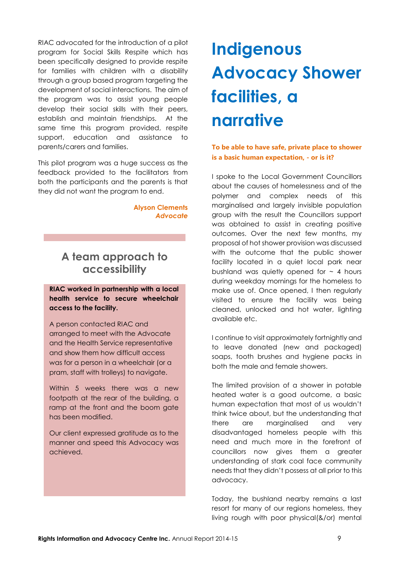RIAC advocated for the introduction of a pilot program for Social Skills Respite which has been specifically designed to provide respite for families with children with a disability through a group based program targeting the development of social interactions. The aim of the program was to assist young people develop their social skills with their peers, establish and maintain friendships. At the same time this program provided, respite support, education and assistance to parents/carers and families.

This pilot program was a huge success as the feedback provided to the facilitators from both the participants and the parents is that they did not want the program to end.

> **Alyson Clements** *Advocate*

### **A team approach to accessibility**

**RIAC worked in partnership with a local health service to secure wheelchair access to the facility.**

A person contacted RIAC and arranged to meet with the Advocate and the Health Service representative and show them how difficult access was for a person in a wheelchair (or a pram, staff with trolleys) to navigate.

Within 5 weeks there was a new footpath at the rear of the building, a ramp at the front and the boom gate has been modified.

Our client expressed gratitude as to the manner and speed this Advocacy was achieved.

# **Indigenous Advocacy Shower facilities, a narrative**

### **To be able to have safe, private place to shower is a basic human expectation, - or is it?**

I spoke to the Local Government Councillors about the causes of homelessness and of the polymer and complex needs of this marginalised and largely invisible population group with the result the Councillors support was obtained to assist in creating positive outcomes. Over the next few months, my proposal of hot shower provision was discussed with the outcome that the public shower facility located in a quiet local park near bushland was quietly opened for  $\sim$  4 hours during weekday mornings for the homeless to make use of. Once opened, I then regularly visited to ensure the facility was being cleaned, unlocked and hot water, lighting available etc.

I continue to visit approximately fortnightly and to leave donated (new and packaged) soaps, tooth brushes and hygiene packs in both the male and female showers.

The limited provision of a shower in potable heated water is a good outcome, a basic human expectation that most of us wouldn't think twice about, but the understanding that there are marginalised and very disadvantaged homeless people with this need and much more in the forefront of councillors now gives them a greater understanding of stark coal face community needs that they didn't possess at all prior to this advocacy.

Today, the bushland nearby remains a last resort for many of our regions homeless, they living rough with poor physical(&/or) mental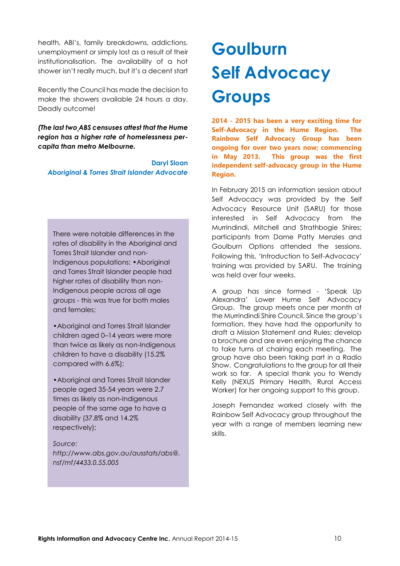health, ABI's, family breakdowns, addictions, unemployment or simply lost as a result of their institutionalisation. The availability of a hot shower isn't really much, but it's a decent start

Recently the Council has made the decision to make the showers available 24 hours a day. Deadly outcome!

*(The last two ABS censuses attest that the Hume region has a higher rate of homelessness percapita than metro Melbourne.*

**Daryl Sloan** *Aboriginal & Torres Strait Islander Advocate*

There were notable differences in the rates of disability in the Aboriginal and Torres Strait Islander and non-Indigenous populations: •Aboriginal and Torres Strait Islander people had higher rates of disability than non-Indigenous people across all age groups - this was true for both males and females;

•Aboriginal and Torres Strait Islander children aged 0–14 years were more than twice as likely as non-Indigenous children to have a disability (15.2% compared with 6.6%);

•Aboriginal and Torres Strait Islander people aged 35-54 years were 2.7 times as likely as non-Indigenous people of the same age to have a disability (37.8% and 14.2% respectively);

*Source: http://www.abs.gov.au/ausstats/abs@. nsf/mf/4433.0.55.005*

# **Goulburn Self Advocacy Groups**

**2014 - 2015 has been a very exciting time for Self-Advocacy in the Hume Region. The Rainbow Self Advocacy Group has been ongoing for over two years now; commencing in May 2013. This group was the first independent self-advocacy group in the Hume Region.** 

In February 2015 an information session about Self Advocacy was provided by the Self Advocacy Resource Unit (SARU) for those interested in Self Advocacy from the Murrindindi, Mitchell and Strathbogie Shires; participants from Dame Patty Menzies and Goulburn Options attended the sessions. Following this, 'Introduction to Self-Advocacy' training was provided by SARU. The training was held over four weeks.

A group has since formed - 'Speak Up Alexandra' Lower Hume Self Advocacy Group. The group meets once per month at the Murrindindi Shire Council. Since the group's formation, they have had the opportunity to draft a Mission Statement and Rules; develop a brochure and are even enjoying the chance to take turns at chairing each meeting. The group have also been taking part in a Radio Show. Congratulations to the group for all their work so far. A special thank you to Wendy Kelly (NEXUS Primary Health, Rural Access Worker) for her ongoing support to this group.

Joseph Fernandez worked closely with the Rainbow Self Advocacy group throughout the year with a range of members learning new skills.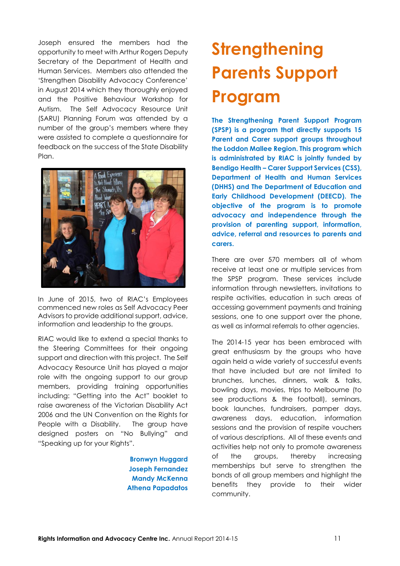Joseph ensured the members had the opportunity to meet with Arthur Rogers Deputy Secretary of the Department of Health and Human Services. Members also attended the 'Strengthen Disability Advocacy Conference' in August 2014 which they thoroughly enjoyed and the Positive Behaviour Workshop for Autism. The Self Advocacy Resource Unit (SARU) Planning Forum was attended by a number of the group's members where they were assisted to complete a questionnaire for feedback on the success of the State Disability Plan.



In June of 2015, two of RIAC's Employees commenced new roles as Self Advocacy Peer Advisors to provide additional support, advice, information and leadership to the groups.

RIAC would like to extend a special thanks to the Steering Committees for their ongoing support and direction with this project. The Self Advocacy Resource Unit has played a major role with the ongoing support to our group members, providing training opportunities including: "Getting into the Act" booklet to raise awareness of the Victorian Disability Act 2006 and the UN Convention on the Rights for People with a Disability. The group have designed posters on "No Bullying" and "Speaking up for your Rights".

> **Bronwyn Huggard Joseph Fernandez Mandy McKenna Athena Papadatos**

## **Strengthening Parents Support Program**

**The Strengthening Parent Support Program (SPSP) is a program that directly supports 15 Parent and Carer support groups throughout the Loddon Mallee Region. This program which is administrated by RIAC is jointly funded by Bendigo Health – Carer Support Services (CSS), Department of Health and Human Services (DHHS) and The Department of Education and Early Childhood Development (DEECD). The objective of the program is to promote advocacy and independence through the provision of parenting support, information, advice, referral and resources to parents and carers.**

There are over 570 members all of whom receive at least one or multiple services from the SPSP program. These services include information through newsletters, invitations to respite activities, education in such areas of accessing government payments and training sessions, one to one support over the phone, as well as informal referrals to other agencies.

The 2014-15 year has been embraced with great enthusiasm by the groups who have again held a wide variety of successful events that have included but are not limited to brunches, lunches, dinners, walk & talks, bowling days, movies, trips to Melbourne (to see productions & the football), seminars, book launches, fundraisers, pamper days, awareness days, education, information sessions and the provision of respite vouchers of various descriptions. All of these events and activities help not only to promote awareness of the groups, thereby increasing memberships but serve to strengthen the bonds of all group members and highlight the benefits they provide to their wider community.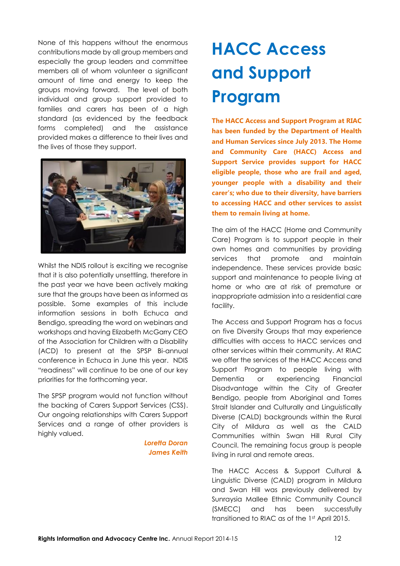None of this happens without the enormous contributions made by all group members and especially the group leaders and committee members all of whom volunteer a significant amount of time and energy to keep the groups moving forward. The level of both individual and group support provided to families and carers has been of a high standard (as evidenced by the feedback forms completed) and the assistance provided makes a difference to their lives and the lives of those they support.



Whilst the NDIS rollout is exciting we recognise that it is also potentially unsettling, therefore in the past year we have been actively making sure that the groups have been as informed as possible. Some examples of this include information sessions in both Echuca and Bendigo, spreading the word on webinars and workshops and having Elizabeth McGarry CEO of the Association for Children with a Disability (ACD) to present at the SPSP Bi-annual conference in Echuca in June this year. NDIS "readiness" will continue to be one of our key priorities for the forthcoming year.

The SPSP program would not function without the backing of Carers Support Services (CSS). Our ongoing relationships with Carers Support Services and a range of other providers is highly valued.

> *Loretta Doran James Keith*

### **HACC Access and Support Program**

**The HACC Access and Support Program at RIAC has been funded by the Department of Health and Human Services since July 2013. The Home and Community Care (HACC) Access and Support Service provides support for HACC eligible people, those who are frail and aged, younger people with a disability and their carer's; who due to their diversity, have barriers to accessing HACC and other services to assist them to remain living at home.**

The aim of the HACC (Home and Community Care) Program is to support people in their own homes and communities by providing services that promote and maintain independence. These services provide basic support and maintenance to people living at home or who are at risk of premature or inappropriate admission into a residential care facility.

The Access and Support Program has a focus on five Diversity Groups that may experience difficulties with access to HACC services and other services within their community. At RIAC we offer the services of the HACC Access and Support Program to people living with Dementia or experiencing Financial Disadvantage within the City of Greater Bendigo, people from Aboriginal and Torres Strait Islander and Culturally and Linguistically Diverse (CALD) backgrounds within the Rural City of Mildura as well as the CALD Communities within Swan Hill Rural City Council. The remaining focus group is people living in rural and remote areas.

The HACC Access & Support Cultural & Linguistic Diverse (CALD) program in Mildura and Swan Hill was previously delivered by Sunraysia Mallee Ethnic Community Council (SMECC) and has been successfully transitioned to RIAC as of the 1st April 2015.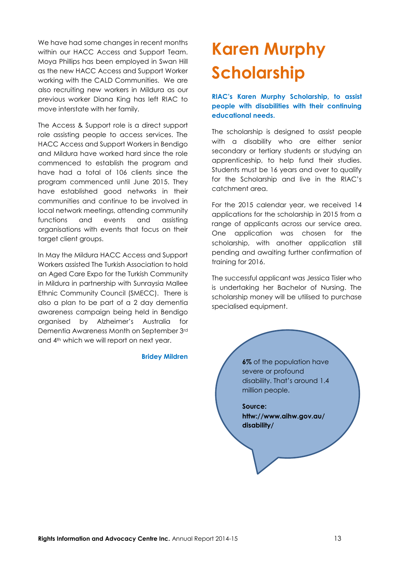We have had some changes in recent months within our HACC Access and Support Team. Moya Phillips has been employed in Swan Hill as the new HACC Access and Support Worker working with the CALD Communities. We are also recruiting new workers in Mildura as our previous worker Diana King has left RIAC to move interstate with her family.

The Access & Support role is a direct support role assisting people to access services. The HACC Access and Support Workers in Bendigo and Mildura have worked hard since the role commenced to establish the program and have had a total of 106 clients since the program commenced until June 2015. They have established good networks in their communities and continue to be involved in local network meetings, attending community functions and events and assisting organisations with events that focus on their target client groups.

In May the Mildura HACC Access and Support Workers assisted The Turkish Association to hold an Aged Care Expo for the Turkish Community in Mildura in partnership with Sunraysia Mallee Ethnic Community Council (SMECC). There is also a plan to be part of a 2 day dementia awareness campaign being held in Bendigo organised by Alzheimer's Australia for Dementia Awareness Month on September 3rd and 4th which we will report on next year.

#### **Bridey Mildren**

### **Karen Murphy Scholarship**

### **RIAC's Karen Murphy Scholarship, to assist people with disabilities with their continuing educational needs.**

The scholarship is designed to assist people with a disability who are either senior secondary or tertiary students or studying an apprenticeship, to help fund their studies. Students must be 16 years and over to qualify for the Scholarship and live in the RIAC's catchment area.

For the 2015 calendar year, we received 14 applications for the scholarship in 2015 from a range of applicants across our service area. One application was chosen for the scholarship, with another application still pending and awaiting further confirmation of training for 2016.

The successful applicant was Jessica Tisler who is undertaking her Bachelor of Nursing. The scholarship money will be utilised to purchase specialised equipment.

> **6%** of the population have severe or profound disability. That's around 1.4 million people.

**Source: httw://www.aihw.gov.au/ disability/**